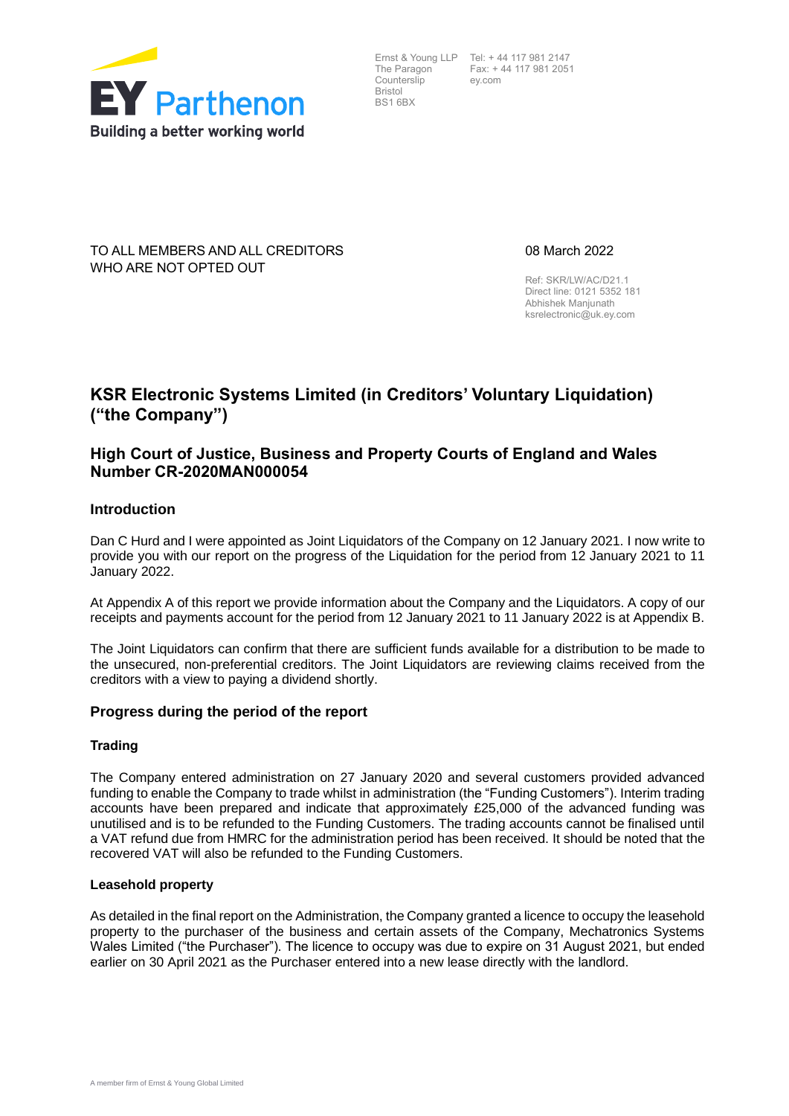

The Paragon Counterslip Bristol BS1 6BX

Ernst & Young LLP Tel: + 44 117 981 2147 Fax: + 44 117 981 2051 ey.com

TO ALL MEMBERS AND ALL CREDITORS WHO ARE NOT OPTED OUT

08 March 2022

Ref: SKR/LW/AC/D21.1 Direct line: 0121 5352 181 Abhishek Manjunath [ksrelectronic@uk.ey.com](mailto:ksrelectronic@uk.ey.com)

# **KSR Electronic Systems Limited (in Creditors' Voluntary Liquidation) ("the Company")**

# **High Court of Justice, Business and Property Courts of England and Wales Number CR-2020MAN000054**

## **Introduction**

Dan C Hurd and I were appointed as Joint Liquidators of the Company on 12 January 2021. I now write to provide you with our report on the progress of the Liquidation for the period from 12 January 2021 to 11 January 2022.

At Appendix A of this report we provide information about the Company and the Liquidators. A copy of our receipts and payments account for the period from 12 January 2021 to 11 January 2022 is at Appendix B.

The Joint Liquidators can confirm that there are sufficient funds available for a distribution to be made to the unsecured, non-preferential creditors. The Joint Liquidators are reviewing claims received from the creditors with a view to paying a dividend shortly.

### **Progress during the period of the report**

#### **Trading**

The Company entered administration on 27 January 2020 and several customers provided advanced funding to enable the Company to trade whilst in administration (the "Funding Customers"). Interim trading accounts have been prepared and indicate that approximately £25,000 of the advanced funding was unutilised and is to be refunded to the Funding Customers. The trading accounts cannot be finalised until a VAT refund due from HMRC for the administration period has been received. It should be noted that the recovered VAT will also be refunded to the Funding Customers.

#### **Leasehold property**

As detailed in the final report on the Administration, the Company granted a licence to occupy the leasehold property to the purchaser of the business and certain assets of the Company, Mechatronics Systems Wales Limited ("the Purchaser"). The licence to occupy was due to expire on 31 August 2021, but ended earlier on 30 April 2021 as the Purchaser entered into a new lease directly with the landlord.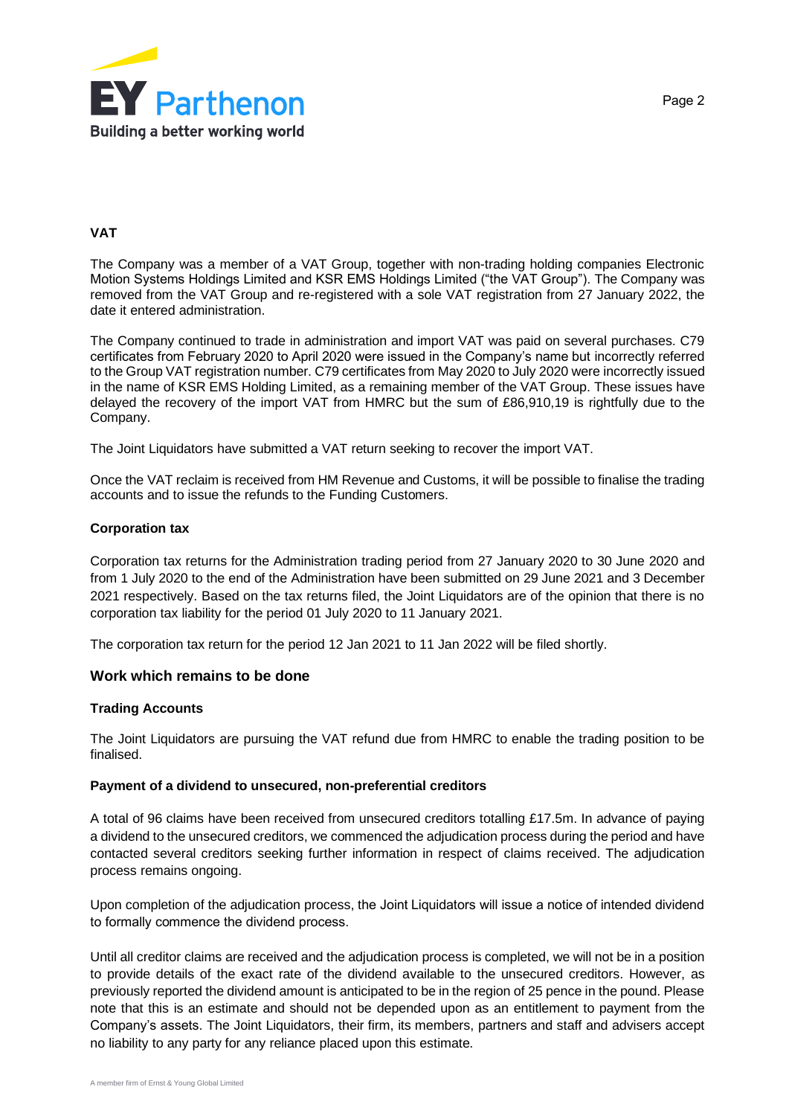

## **VAT**

The Company was a member of a VAT Group, together with non-trading holding companies Electronic Motion Systems Holdings Limited and KSR EMS Holdings Limited ("the VAT Group"). The Company was removed from the VAT Group and re-registered with a sole VAT registration from 27 January 2022, the date it entered administration.

The Company continued to trade in administration and import VAT was paid on several purchases. C79 certificates from February 2020 to April 2020 were issued in the Company's name but incorrectly referred to the Group VAT registration number. C79 certificates from May 2020 to July 2020 were incorrectly issued in the name of KSR EMS Holding Limited, as a remaining member of the VAT Group. These issues have delayed the recovery of the import VAT from HMRC but the sum of £86,910,19 is rightfully due to the Company.

The Joint Liquidators have submitted a VAT return seeking to recover the import VAT.

Once the VAT reclaim is received from HM Revenue and Customs, it will be possible to finalise the trading accounts and to issue the refunds to the Funding Customers.

#### **Corporation tax**

Corporation tax returns for the Administration trading period from 27 January 2020 to 30 June 2020 and from 1 July 2020 to the end of the Administration have been submitted on 29 June 2021 and 3 December 2021 respectively. Based on the tax returns filed, the Joint Liquidators are of the opinion that there is no corporation tax liability for the period 01 July 2020 to 11 January 2021.

The corporation tax return for the period 12 Jan 2021 to 11 Jan 2022 will be filed shortly.

#### **Work which remains to be done**

#### **Trading Accounts**

The Joint Liquidators are pursuing the VAT refund due from HMRC to enable the trading position to be finalised.

#### **Payment of a dividend to unsecured, non-preferential creditors**

A total of 96 claims have been received from unsecured creditors totalling £17.5m. In advance of paying a dividend to the unsecured creditors, we commenced the adjudication process during the period and have contacted several creditors seeking further information in respect of claims received. The adjudication process remains ongoing.

Upon completion of the adjudication process, the Joint Liquidators will issue a notice of intended dividend to formally commence the dividend process.

Until all creditor claims are received and the adjudication process is completed, we will not be in a position to provide details of the exact rate of the dividend available to the unsecured creditors. However, as previously reported the dividend amount is anticipated to be in the region of 25 pence in the pound. Please note that this is an estimate and should not be depended upon as an entitlement to payment from the Company's assets. The Joint Liquidators, their firm, its members, partners and staff and advisers accept no liability to any party for any reliance placed upon this estimate.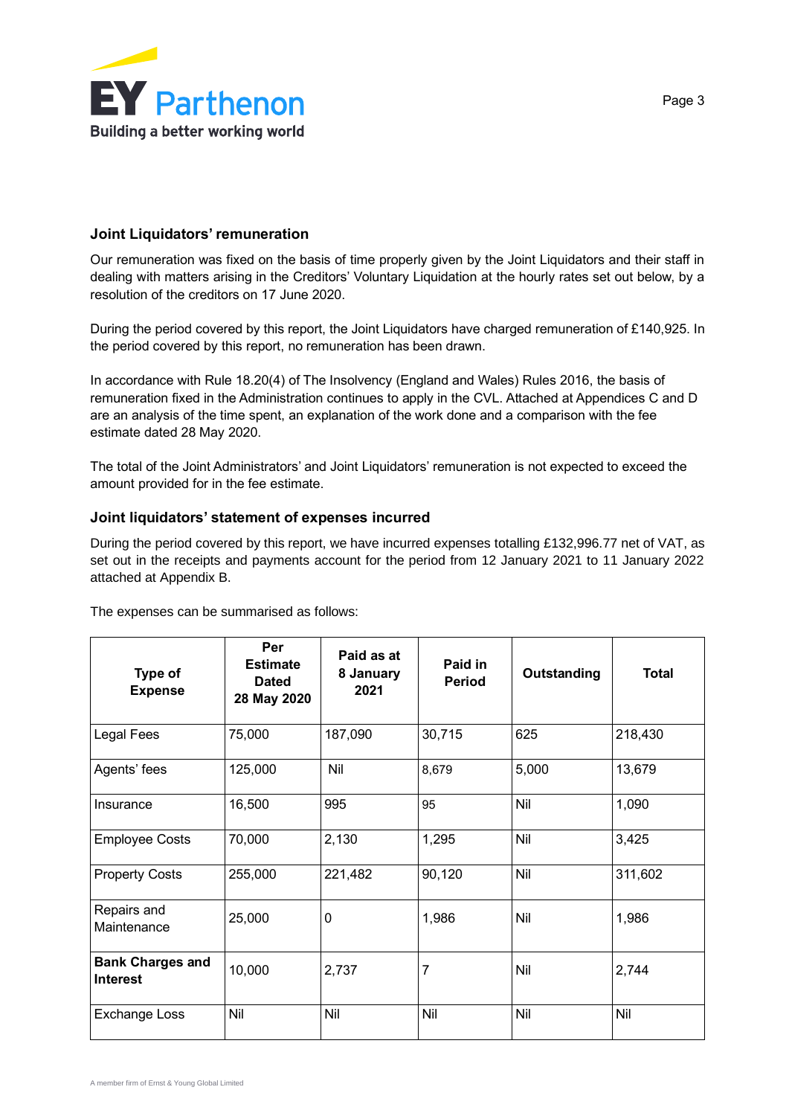

## **Joint Liquidators' remuneration**

Our remuneration was fixed on the basis of time properly given by the Joint Liquidators and their staff in dealing with matters arising in the Creditors' Voluntary Liquidation at the hourly rates set out below, by a resolution of the creditors on 17 June 2020.

During the period covered by this report, the Joint Liquidators have charged remuneration of £140,925. In the period covered by this report, no remuneration has been drawn.

In accordance with Rule 18.20(4) of The Insolvency (England and Wales) Rules 2016, the basis of remuneration fixed in the Administration continues to apply in the CVL. Attached at Appendices C and D are an analysis of the time spent, an explanation of the work done and a comparison with the fee estimate dated 28 May 2020.

The total of the Joint Administrators' and Joint Liquidators' remuneration is not expected to exceed the amount provided for in the fee estimate.

## **Joint liquidators' statement of expenses incurred**

During the period covered by this report, we have incurred expenses totalling £132,996.77 net of VAT, as set out in the receipts and payments account for the period from 12 January 2021 to 11 January 2022 attached at Appendix B.

| Type of<br><b>Expense</b>                  | Per<br><b>Estimate</b><br><b>Dated</b><br>28 May 2020 | Paid as at<br>8 January<br>2021 | Paid in<br><b>Period</b> | Outstanding | <b>Total</b> |
|--------------------------------------------|-------------------------------------------------------|---------------------------------|--------------------------|-------------|--------------|
| Legal Fees                                 | 75,000                                                | 187,090                         | 30,715                   | 625         | 218,430      |
| Agents' fees                               | 125,000                                               | Nil                             | 8,679                    | 5,000       | 13,679       |
| Insurance                                  | 16,500                                                | 995                             | 95                       | Nil         | 1,090        |
| <b>Employee Costs</b>                      | 70,000                                                | 2,130                           | 1,295                    | Nil         | 3,425        |
| <b>Property Costs</b>                      | 255,000                                               | 221,482                         | 90,120                   | Nil         | 311,602      |
| Repairs and<br>Maintenance                 | 25,000                                                | 0                               | 1,986                    | Nil         | 1,986        |
| <b>Bank Charges and</b><br><b>Interest</b> | 10,000                                                | 2,737                           | 7                        | Nil         | 2,744        |
| <b>Exchange Loss</b>                       | Nil                                                   | Nil                             | Nil                      | Nil         | Nil          |

The expenses can be summarised as follows: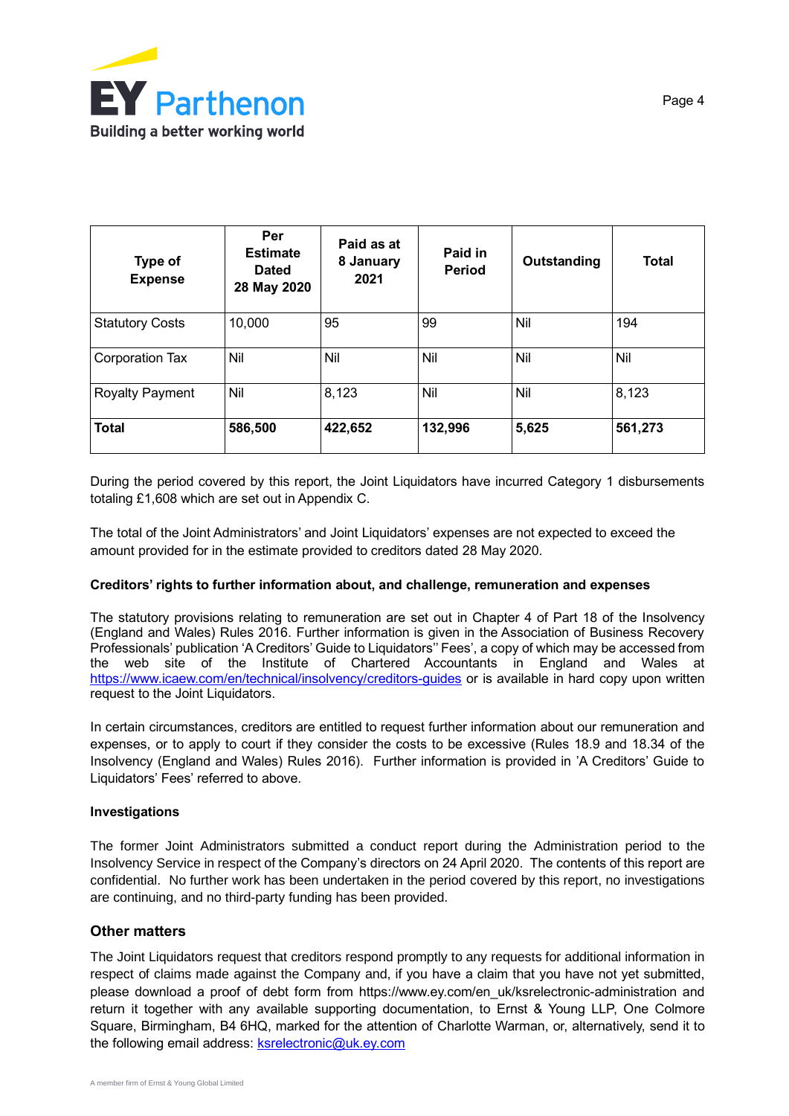

| Type of<br><b>Expense</b> | Per<br><b>Estimate</b><br><b>Dated</b><br>28 May 2020 | Paid as at<br>8 January<br>2021 | Paid in<br><b>Period</b> | Outstanding | <b>Total</b> |
|---------------------------|-------------------------------------------------------|---------------------------------|--------------------------|-------------|--------------|
| <b>Statutory Costs</b>    | 10,000                                                | 95                              | 99                       | Nil         | 194          |
| <b>Corporation Tax</b>    | Nil                                                   | Nil                             | Nil                      | Nil         | Nil          |
| <b>Royalty Payment</b>    | Nil                                                   | 8,123                           | Nil                      | Nil         | 8,123        |
| <b>Total</b>              | 586,500                                               | 422,652                         | 132,996                  | 5,625       | 561,273      |

During the period covered by this report, the Joint Liquidators have incurred Category 1 disbursements totaling £1,608 which are set out in Appendix C.

The total of the Joint Administrators' and Joint Liquidators' expenses are not expected to exceed the amount provided for in the estimate provided to creditors dated 28 May 2020.

#### **Creditors' rights to further information about, and challenge, remuneration and expenses**

The statutory provisions relating to remuneration are set out in Chapter 4 of Part 18 of the Insolvency (England and Wales) Rules 2016. Further information is given in the Association of Business Recovery Professionals' publication 'A Creditors' Guide to Liquidators'' Fees', a copy of which may be accessed from the web site of the Institute of Chartered Accountants in England and Wales at <https://www.icaew.com/en/technical/insolvency/creditors-guides> or is available in hard copy upon written request to the Joint Liquidators.

In certain circumstances, creditors are entitled to request further information about our remuneration and expenses, or to apply to court if they consider the costs to be excessive (Rules 18.9 and 18.34 of the Insolvency (England and Wales) Rules 2016). Further information is provided in 'A Creditors' Guide to Liquidators' Fees' referred to above.

### **Investigations**

The former Joint Administrators submitted a conduct report during the Administration period to the Insolvency Service in respect of the Company's directors on 24 April 2020. The contents of this report are confidential. No further work has been undertaken in the period covered by this report, no investigations are continuing, and no third-party funding has been provided.

### **Other matters**

The Joint Liquidators request that creditors respond promptly to any requests for additional information in respect of claims made against the Company and, if you have a claim that you have not yet submitted, please download a proof of debt form from https://www.ey.com/en\_uk/ksrelectronic-administration and return it together with any available supporting documentation, to Ernst & Young LLP, One Colmore Square, Birmingham, B4 6HQ, marked for the attention of Charlotte Warman, or, alternatively, send it to the following email address: **ksrelectronic@uk.ey.com**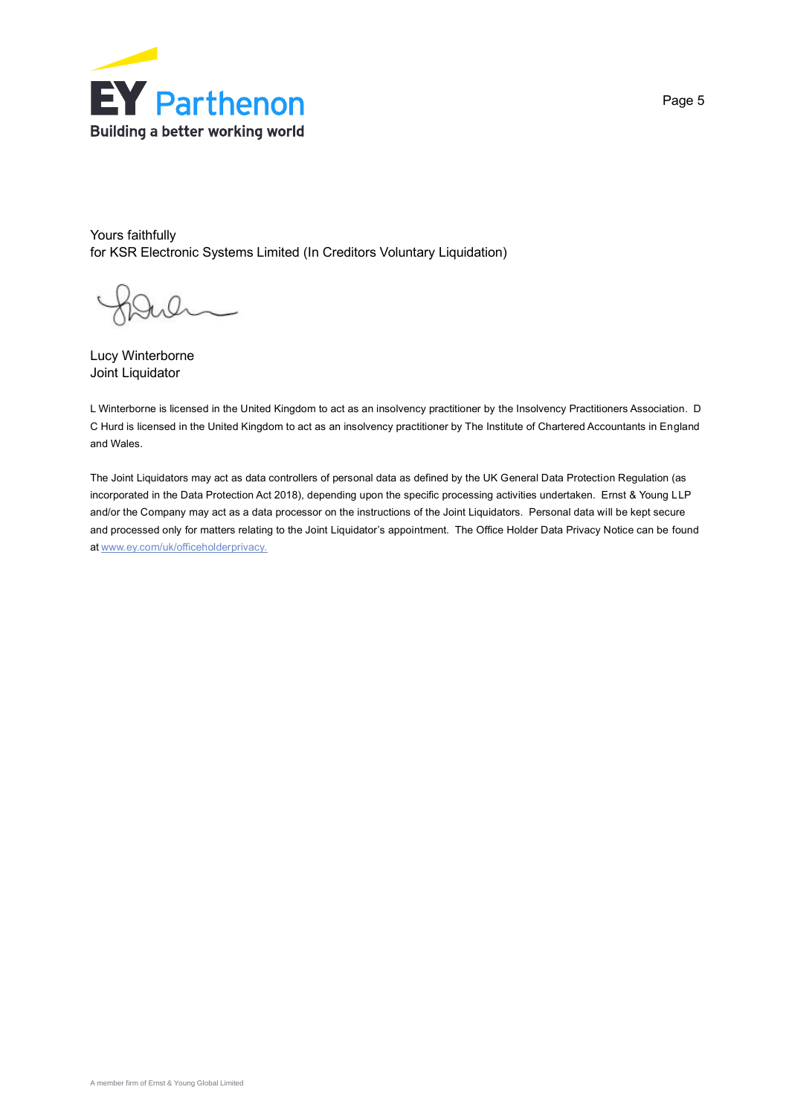

Yours faithfully for KSR Electronic Systems Limited (In Creditors Voluntary Liquidation)

Lucy Winterborne Joint Liquidator

L Winterborne is licensed in the United Kingdom to act as an insolvency practitioner by the Insolvency Practitioners Association. D C Hurd is licensed in the United Kingdom to act as an insolvency practitioner by The Institute of Chartered Accountants in England and Wales.

The Joint Liquidators may act as data controllers of personal data as defined by the UK General Data Protection Regulation (as incorporated in the Data Protection Act 2018), depending upon the specific processing activities undertaken. Ernst & Young LLP and/or the Company may act as a data processor on the instructions of the Joint Liquidators. Personal data will be kept secure and processed only for matters relating to the Joint Liquidator's appointment. The Office Holder Data Privacy Notice can be found a[t www.ey.com/uk/officeholderprivacy.](https://www.ey.com/uk/officeholderprivacy)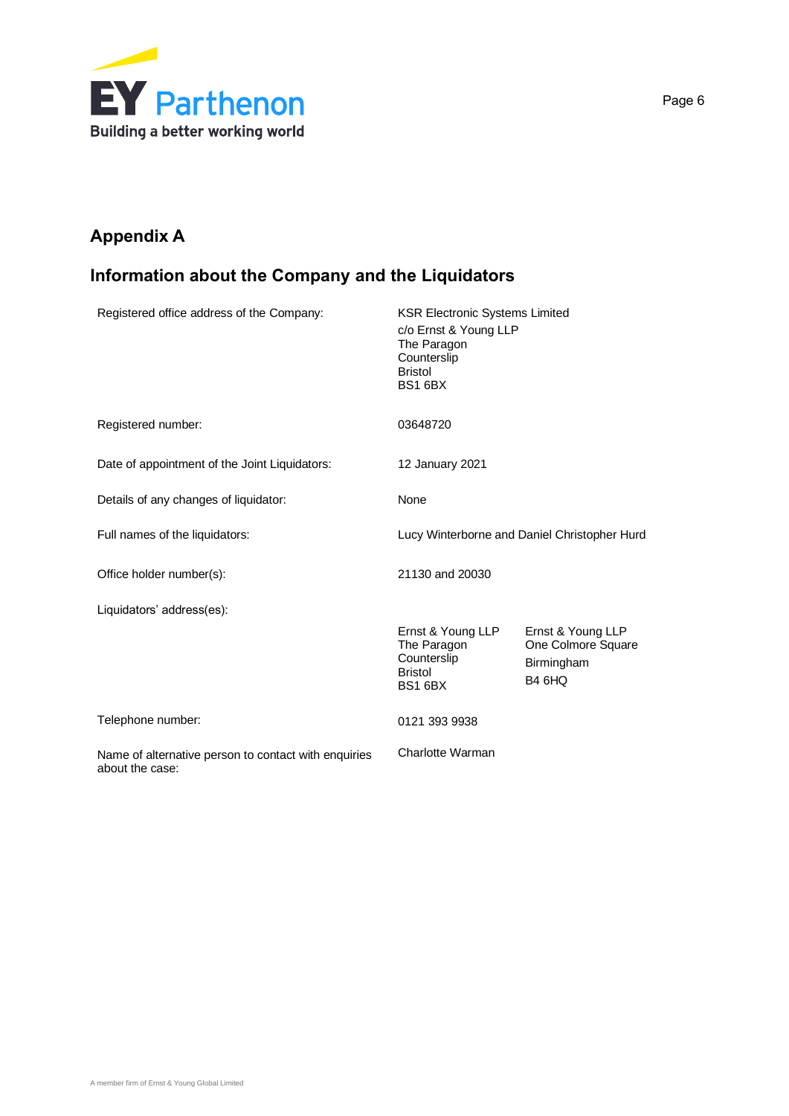

# **Appendix A**

# **Information about the Company and the Liquidators**

| Registered office address of the Company:                               | <b>KSR Electronic Systems Limited</b><br>c/o Ernst & Young LLP<br>The Paragon<br>Counterslip<br><b>Bristol</b><br><b>BS1 6BX</b> |                                                                             |
|-------------------------------------------------------------------------|----------------------------------------------------------------------------------------------------------------------------------|-----------------------------------------------------------------------------|
| Registered number:                                                      | 03648720                                                                                                                         |                                                                             |
| Date of appointment of the Joint Liquidators:                           | 12 January 2021                                                                                                                  |                                                                             |
| Details of any changes of liquidator:                                   | None                                                                                                                             |                                                                             |
| Full names of the liquidators:                                          |                                                                                                                                  | Lucy Winterborne and Daniel Christopher Hurd                                |
| Office holder number(s):                                                | 21130 and 20030                                                                                                                  |                                                                             |
| Liquidators' address(es):                                               |                                                                                                                                  |                                                                             |
|                                                                         | Ernst & Young LLP<br>The Paragon<br>Counterslip<br><b>Bristol</b><br><b>BS1 6BX</b>                                              | Ernst & Young LLP<br>One Colmore Square<br>Birmingham<br>B <sub>4</sub> 6HQ |
| Telephone number:                                                       | 0121 393 9938                                                                                                                    |                                                                             |
| Name of alternative person to contact with enquiries<br>about the case: | Charlotte Warman                                                                                                                 |                                                                             |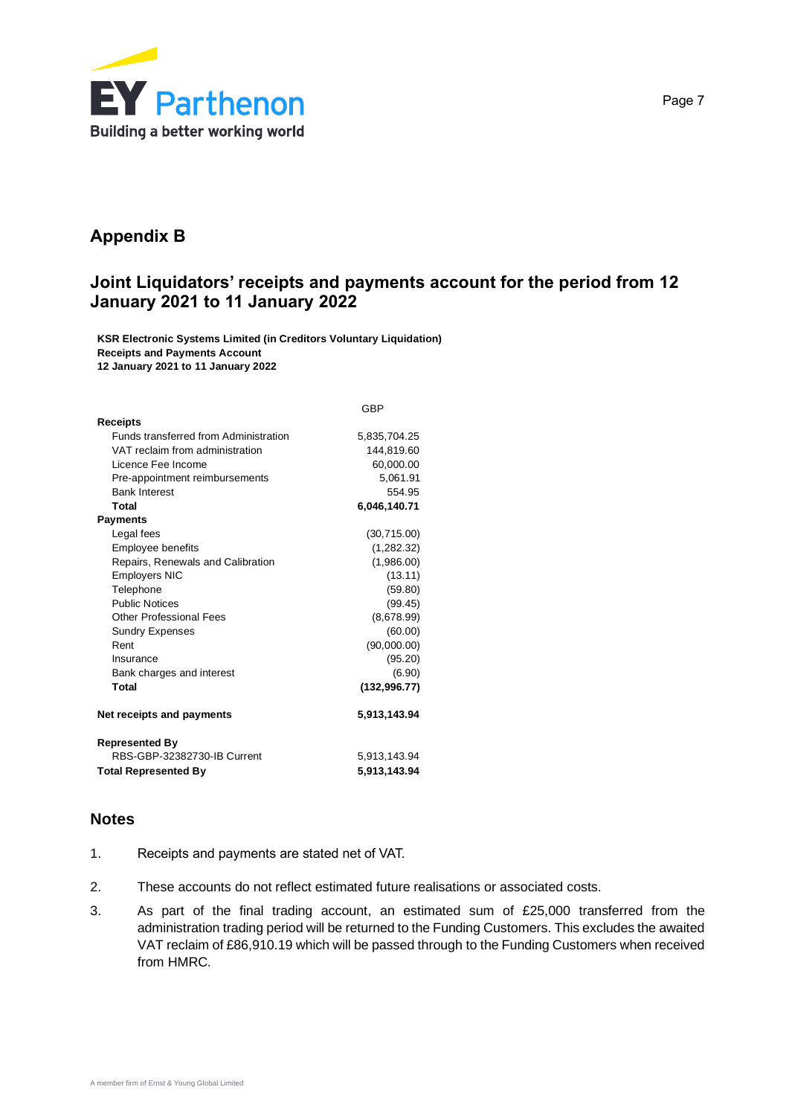

# **Appendix B**

# **Joint Liquidators' receipts and payments account for the period from 12 January 2021 to 11 January 2022**

**KSR Electronic Systems Limited (in Creditors Voluntary Liquidation) Receipts and Payments Account 12 January 2021 to 11 January 2022**

|                                              | GBP           |
|----------------------------------------------|---------------|
| <b>Receipts</b>                              |               |
| <b>Funds transferred from Administration</b> | 5,835,704.25  |
| VAT reclaim from administration              | 144,819.60    |
| Licence Fee Income                           | 60,000.00     |
| Pre-appointment reimbursements               | 5,061.91      |
| <b>Bank Interest</b>                         | 554.95        |
| Total                                        | 6,046,140.71  |
| <b>Payments</b>                              |               |
| Legal fees                                   | (30, 715.00)  |
| <b>Employee benefits</b>                     | (1,282.32)    |
| Repairs, Renewals and Calibration            | (1,986.00)    |
| <b>Employers NIC</b>                         | (13.11)       |
| Telephone                                    | (59.80)       |
| <b>Public Notices</b>                        | (99.45)       |
| Other Professional Fees                      | (8,678.99)    |
| <b>Sundry Expenses</b>                       | (60.00)       |
| Rent                                         | (90,000.00)   |
| Insurance                                    | (95.20)       |
| Bank charges and interest                    | (6.90)        |
| Total                                        | (132, 996.77) |
| Net receipts and payments                    | 5,913,143.94  |
| <b>Represented By</b>                        |               |
| RBS-GBP-32382730-IB Current                  | 5,913,143.94  |
| <b>Total Represented By</b>                  | 5,913,143.94  |

# **Notes**

- 1. Receipts and payments are stated net of VAT.
- 2. These accounts do not reflect estimated future realisations or associated costs.
- 3. As part of the final trading account, an estimated sum of £25,000 transferred from the administration trading period will be returned to the Funding Customers. This excludes the awaited VAT reclaim of £86,910.19 which will be passed through to the Funding Customers when received from HMRC.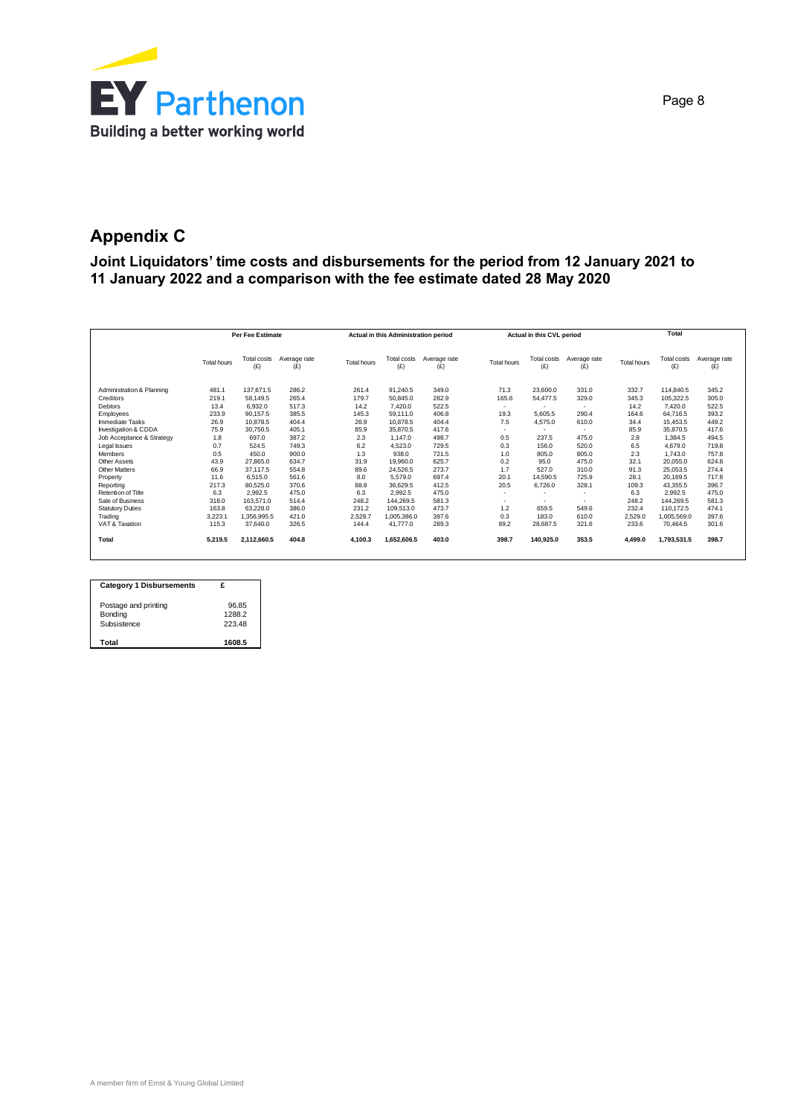

# **Appendix C**

**Joint Liquidators' time costs and disbursements for the period from 12 January 2021 to 11 January 2022 and a comparison with the fee estimate dated 28 May 2020**

|                           |                    | <b>Per Fee Estimate</b> |                     |                    | Actual in this Administration period |                     |                          | Actual in this CVL period |                     |                    | Total              |                     |
|---------------------------|--------------------|-------------------------|---------------------|--------------------|--------------------------------------|---------------------|--------------------------|---------------------------|---------------------|--------------------|--------------------|---------------------|
|                           | <b>Total hours</b> | Total costs<br>(E)      | Average rate<br>(E) | <b>Total hours</b> | Total costs<br>(E)                   | Average rate<br>(E) | <b>Total hours</b>       | Total costs<br>(E)        | Average rate<br>(E) | <b>Total hours</b> | Total costs<br>(E) | Average rate<br>(E) |
| Administration & Planning | 481.1              | 137.671.5               | 286.2               | 261.4              | 91.240.5                             | 349.0               | 71.3                     | 23,600.0                  | 331.0               | 332.7              | 114,840.5          | 345.2               |
| Creditors                 | 219.1              | 58.149.5                | 265.4               | 179.7              | 50.845.0                             | 282.9               | 165.6                    | 54.477.5                  | 329.0               | 345.3              | 105.322.5          | 305.0               |
| Debtors                   | 13.4               | 6.932.0                 | 517.3               | 14.2               | 7.420.0                              | 522.5               | $\sim$                   |                           | $\sim$              | 14.2               | 7.420.0            | 522.5               |
| Employees                 | 233.9              | 90.157.5                | 385.5               | 145.3              | 59.111.0                             | 406.8               | 19.3                     | 5.605.5                   | 290.4               | 164.6              | 64.716.5           | 393.2               |
| <b>Immediate Tasks</b>    | 26.9               | 10.878.5                | 404.4               | 26.9               | 10.878.5                             | 404.4               | 7.5                      | 4.575.0                   | 610.0               | 34.4               | 15.453.5           | 449.2               |
| Investigation & CDDA      | 75.9               | 30.750.5                | 405.1               | 85.9               | 35.870.5                             | 417.6               | $\sim$                   |                           | $\sim$              | 85.9               | 35.870.5           | 417.6               |
| Job Acceptance & Strategy | 1.8                | 697.0                   | 387.2               | 2.3                | 1.147.0                              | 498.7               | 0.5                      | 237.5                     | 475.0               | 2.8                | 1.384.5            | 494.5               |
| Legal Issues              | 0.7                | 524.5                   | 749.3               | 6.2                | 4.523.0                              | 729.5               | 0.3                      | 156.0                     | 520.0               | 6.5                | 4.679.0            | 719.8               |
| <b>Members</b>            | 0.5                | 450.0                   | 900.0               | 1.3                | 938.0                                | 721.5               | 1.0                      | 805.0                     | 805.0               | 2.3                | 1.743.0            | 757.8               |
| Other Assets              | 43.9               | 27,865.0                | 634.7               | 31.9               | 19,960.0                             | 625.7               | 0.2                      | 95.0                      | 475.0               | 32.1               | 20.055.0           | 624.8               |
| <b>Other Matters</b>      | 66.9               | 37.117.5                | 554.8               | 89.6               | 24.526.5                             | 273.7               | 1.7                      | 527.0                     | 310.0               | 91.3               | 25.053.5           | 274.4               |
| Property                  | 11.6               | 6,515.0                 | 561.6               | 8.0                | 5.579.0                              | 697.4               | 20.1                     | 14.590.5                  | 725.9               | 28.1               | 20.169.5           | 717.8               |
| Reporting                 | 217.3              | 80.525.0                | 370.6               | 88.8               | 36.629.5                             | 412.5               | 20.5                     | 6,726.0                   | 328.1               | 109.3              | 43.355.5           | 396.7               |
| Retention of Title        | 6.3                | 2.992.5                 | 475.0               | 6.3                | 2.992.5                              | 475.0               | $\sim$                   |                           | $\sim$              | 6.3                | 2.992.5            | 475.0               |
| Sale of Business          | 318.0              | 163.571.0               | 514.4               | 248.2              | 144.269.5                            | 581.3               | $\overline{\phantom{a}}$ |                           |                     | 248.2              | 144.269.5          | 581.3               |
| <b>Statutory Duties</b>   | 163.8              | 63.228.0                | 386.0               | 231.2              | 109.513.0                            | 473.7               | 1.2                      | 659.5                     | 549.6               | 232.4              | 110.172.5          | 474.1               |
| Trading                   | 3.223.1            | 1.356.995.5             | 421.0               | 2.528.7            | 1.005.386.0                          | 397.6               | 0.3                      | 183.0                     | 610.0               | 2,529.0            | 1.005.569.0        | 397.6               |
| VAT & Taxation            | 115.3              | 37.640.0                | 326.5               | 144.4              | 41,777.0                             | 289.3               | 89.2                     | 28,687.5                  | 321.6               | 233.6              | 70.464.5           | 301.6               |
| Total                     | 5.219.5            | 2.112.660.5             | 404.8               | 4.100.3            | 1.652.606.5                          | 403.0               | 398.7                    | 140.925.0                 | 353.5               | 4.499.0            | 1.793.531.5        | 398.7               |

| <b>Category 1 Disbursements</b> |        |
|---------------------------------|--------|
| Postage and printing            | 96.85  |
| Bonding                         | 1288.2 |
| Subsistence                     | 22348  |
| Total                           | 1608.5 |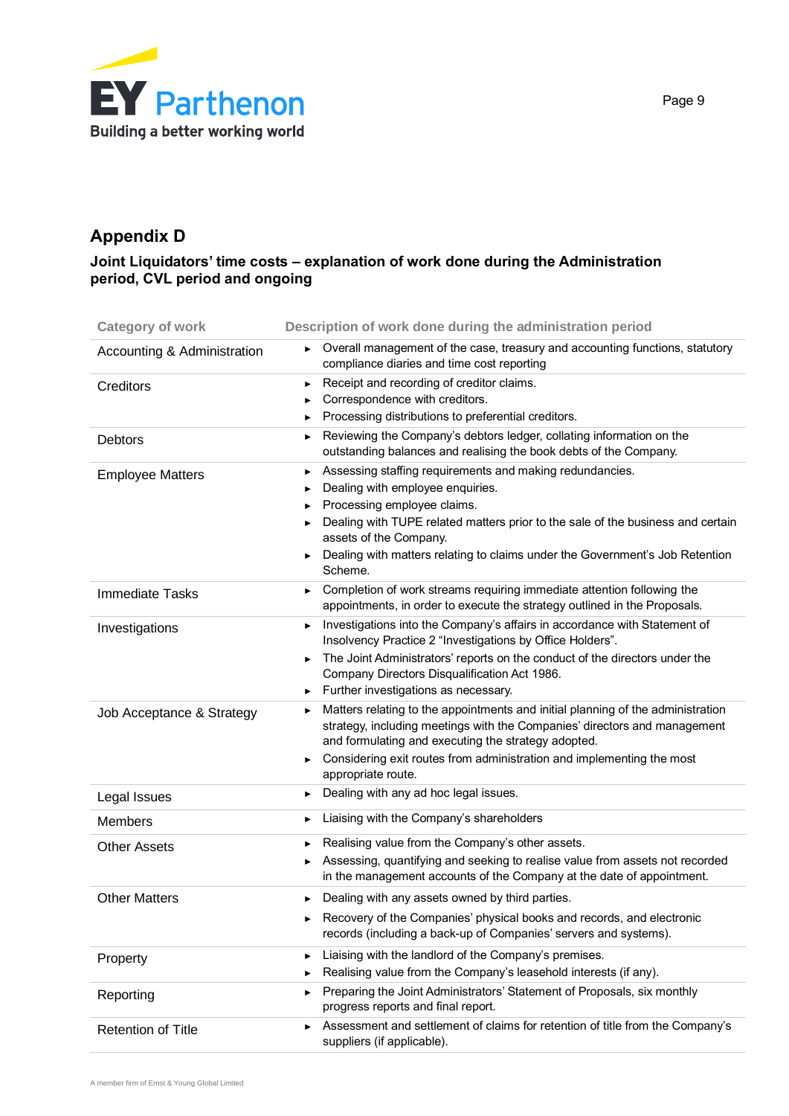

# **Appendix D**

# **Joint Liquidators' time costs – explanation of work done during the Administration period, CVL period and ongoing**

| <b>Category of work</b>     | Description of work done during the administration period                                                                                                                                                                                                                                                                                          |
|-----------------------------|----------------------------------------------------------------------------------------------------------------------------------------------------------------------------------------------------------------------------------------------------------------------------------------------------------------------------------------------------|
| Accounting & Administration | ▶ Overall management of the case, treasury and accounting functions, statutory<br>compliance diaries and time cost reporting                                                                                                                                                                                                                       |
| Creditors                   | Receipt and recording of creditor claims.<br>▶<br>Correspondence with creditors.<br>Processing distributions to preferential creditors.                                                                                                                                                                                                            |
| <b>Debtors</b>              | Reviewing the Company's debtors ledger, collating information on the<br>▶<br>outstanding balances and realising the book debts of the Company.                                                                                                                                                                                                     |
| <b>Employee Matters</b>     | Assessing staffing requirements and making redundancies.<br>▶<br>Dealing with employee enquiries.<br>▶<br>Processing employee claims.<br>Dealing with TUPE related matters prior to the sale of the business and certain<br>assets of the Company.<br>Dealing with matters relating to claims under the Government's Job Retention<br>▶<br>Scheme. |
| <b>Immediate Tasks</b>      | Completion of work streams requiring immediate attention following the<br>▶<br>appointments, in order to execute the strategy outlined in the Proposals.                                                                                                                                                                                           |
| Investigations              | Investigations into the Company's affairs in accordance with Statement of<br>▶<br>Insolvency Practice 2 "Investigations by Office Holders".<br>The Joint Administrators' reports on the conduct of the directors under the<br>▶<br>Company Directors Disqualification Act 1986.<br>Further investigations as necessary.<br>▶                       |
| Job Acceptance & Strategy   | Matters relating to the appointments and initial planning of the administration<br>▶<br>strategy, including meetings with the Companies' directors and management<br>and formulating and executing the strategy adopted.<br>Considering exit routes from administration and implementing the most<br>▶<br>appropriate route.                       |
| Legal Issues                | Dealing with any ad hoc legal issues.<br>▶                                                                                                                                                                                                                                                                                                         |
| <b>Members</b>              | Liaising with the Company's shareholders<br>▶                                                                                                                                                                                                                                                                                                      |
| <b>Other Assets</b>         | Realising value from the Company's other assets.<br>▶<br>Assessing, quantifying and seeking to realise value from assets not recorded<br>▶<br>in the management accounts of the Company at the date of appointment.                                                                                                                                |
| <b>Other Matters</b>        | Dealing with any assets owned by third parties.<br>▶<br>Recovery of the Companies' physical books and records, and electronic<br>records (including a back-up of Companies' servers and systems).                                                                                                                                                  |
| Property                    | Liaising with the landlord of the Company's premises.<br>▶<br>Realising value from the Company's leasehold interests (if any).<br>▶                                                                                                                                                                                                                |
| Reporting                   | Preparing the Joint Administrators' Statement of Proposals, six monthly<br>▶<br>progress reports and final report.                                                                                                                                                                                                                                 |
| <b>Retention of Title</b>   | Assessment and settlement of claims for retention of title from the Company's<br>▶<br>suppliers (if applicable).                                                                                                                                                                                                                                   |

Page 9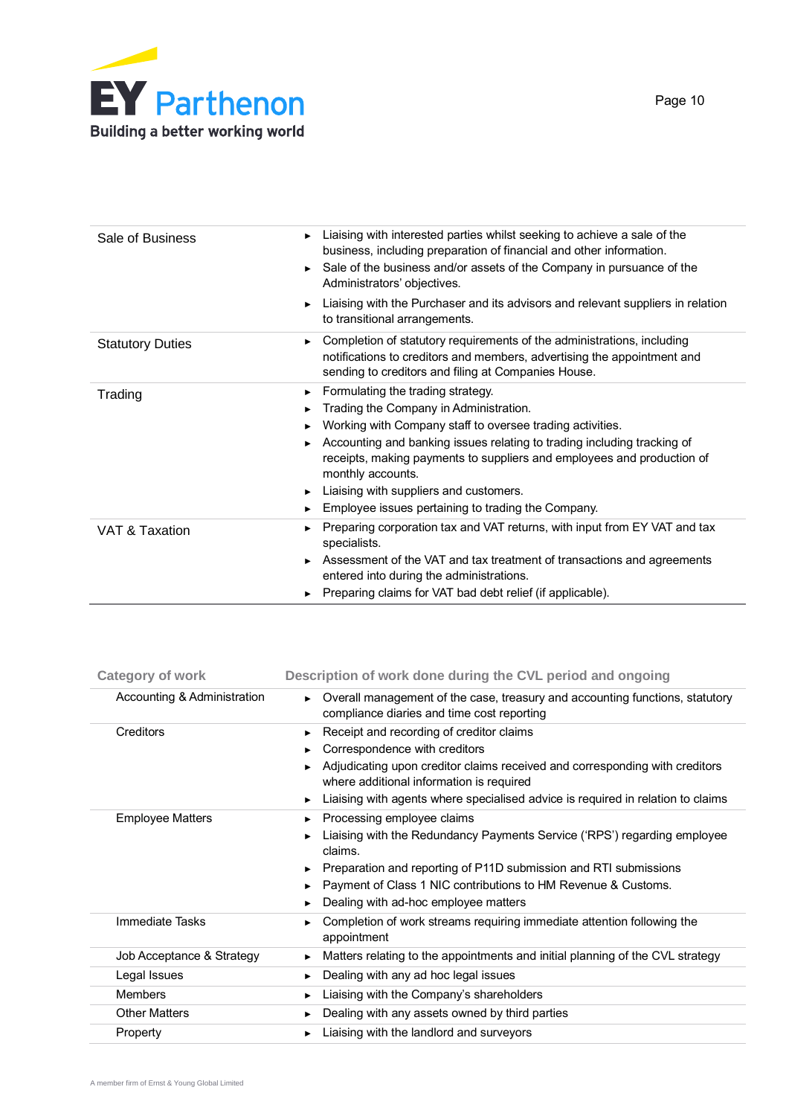

| Sale of Business        | Liaising with interested parties whilst seeking to achieve a sale of the<br>business, including preparation of financial and other information.<br>Sale of the business and/or assets of the Company in pursuance of the<br>Administrators' objectives.                                                                                                                                                                                  |
|-------------------------|------------------------------------------------------------------------------------------------------------------------------------------------------------------------------------------------------------------------------------------------------------------------------------------------------------------------------------------------------------------------------------------------------------------------------------------|
|                         | Liaising with the Purchaser and its advisors and relevant suppliers in relation<br>▶<br>to transitional arrangements.                                                                                                                                                                                                                                                                                                                    |
| <b>Statutory Duties</b> | Completion of statutory requirements of the administrations, including<br>▶<br>notifications to creditors and members, advertising the appointment and<br>sending to creditors and filing at Companies House.                                                                                                                                                                                                                            |
| Trading                 | $\blacktriangleright$ Formulating the trading strategy.<br>Trading the Company in Administration.<br>Working with Company staff to oversee trading activities.<br>Accounting and banking issues relating to trading including tracking of<br>receipts, making payments to suppliers and employees and production of<br>monthly accounts.<br>Liaising with suppliers and customers.<br>Employee issues pertaining to trading the Company. |
| VAT & Taxation          | Preparing corporation tax and VAT returns, with input from EY VAT and tax<br>specialists.<br>Assessment of the VAT and tax treatment of transactions and agreements<br>entered into during the administrations.<br>► Preparing claims for VAT bad debt relief (if applicable).                                                                                                                                                           |

| <b>Category of work</b>     | Description of work done during the CVL period and ongoing                                                                   |
|-----------------------------|------------------------------------------------------------------------------------------------------------------------------|
| Accounting & Administration | ► Overall management of the case, treasury and accounting functions, statutory<br>compliance diaries and time cost reporting |
| <b>Creditors</b>            | Receipt and recording of creditor claims<br>$\blacktriangleright$                                                            |
|                             | Correspondence with creditors                                                                                                |
|                             | Adjudicating upon creditor claims received and corresponding with creditors<br>where additional information is required      |
|                             | Liaising with agents where specialised advice is required in relation to claims                                              |
| <b>Employee Matters</b>     | Processing employee claims                                                                                                   |
|                             | Liaising with the Redundancy Payments Service ('RPS') regarding employee<br>claims.                                          |
|                             | Preparation and reporting of P11D submission and RTI submissions                                                             |
|                             | Payment of Class 1 NIC contributions to HM Revenue & Customs.                                                                |
|                             | Dealing with ad-hoc employee matters                                                                                         |
| Immediate Tasks             | Completion of work streams requiring immediate attention following the<br>appointment                                        |
| Job Acceptance & Strategy   | Matters relating to the appointments and initial planning of the CVL strategy                                                |
| Legal Issues                | Dealing with any ad hoc legal issues<br>▶.                                                                                   |
| <b>Members</b>              | Liaising with the Company's shareholders                                                                                     |
| <b>Other Matters</b>        | Dealing with any assets owned by third parties                                                                               |
| Property                    | Liaising with the landlord and surveyors                                                                                     |